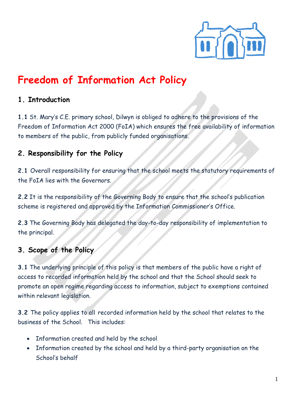

# **Freedom of Information Act Policy**

#### **1. Introduction**

**1.1** St. Mary's C.E. primary school, Dilwyn is obliged to adhere to the provisions of the Freedom of Information Act 2000 (FoIA) which ensures the free availability of information to members of the public, from publicly funded organisations.

#### **2. Responsibility for the Policy**

**2.1** Overall responsibility for ensuring that the school meets the statutory requirements of the FoIA lies with the Governors.

**2.2** It is the responsibility of the Governing Body to ensure that the school's publication scheme is registered and approved by the Information Commissioner's Office.

**2.3** The Governing Body has delegated the day-to-day responsibility of implementation to the principal.

#### **3. Scope of the Policy**

**3.1** The underlying principle of this policy is that members of the public have a right of access to recorded information held by the school and that the School should seek to promote an open regime regarding access to information, subject to exemptions contained within relevant legislation.

**3.2** The policy applies to all recorded information held by the school that relates to the business of the School. This includes:

- Information created and held by the school
- Information created by the school and held by a third-party organisation on the School's behalf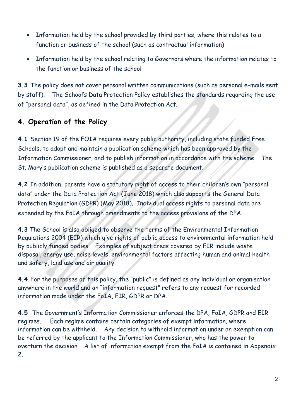- Information held by the school provided by third parties, where this relates to a function or business of the school (such as contractual information)
- Information held by the school relating to Governors where the information relates to the function or business of the school

**3.3** The policy does not cover personal written communications (such as personal e-mails sent by staff). The School's Data Protection Policy establishes the standards regarding the use of "personal data", as defined in the Data Protection Act.

## **4. Operation of the Policy**

**4.1** Section 19 of the FOIA requires every public authority, including state funded Free Schools, to adopt and maintain a publication scheme which has been approved by the Information Commissioner, and to publish information in accordance with the scheme. The St. Mary's publication scheme is published as a separate document.

**4.2** In addition, parents have a statutory right of access to their children's own "personal data" under the Data Protection Act (June 2018) which also supports the General Data Protection Regulation (GDPR) (May 2018). Individual access rights to personal data are extended by the FoIA through amendments to the access provisions of the DPA.

**4.3** The School is also obliged to observe the terms of the Environmental Information Regulations 2004 (EIR) which give rights of public access to environmental information held by publicly funded bodies. Examples of subject areas covered by EIR include waste disposal, energy use, noise levels, environmental factors affecting human and animal health and safety, land use and air quality.

**4.4** For the purposes of this policy, the "public" is defined as any individual or organisation anywhere in the world and an "information request" refers to any request for recorded information made under the FoIA, EIR, GDPR or DPA.

**4.5** The Government's Information Commissioner enforces the DPA, FoIA, GDPR and EIR regimes. Each regime contains certain categories of exempt information, where information can be withheld. Any decision to withhold information under an exemption can be referred by the applicant to the Information Commissioner, who has the power to overturn the decision. A list of information exempt from the FoIA is contained in Appendix 2.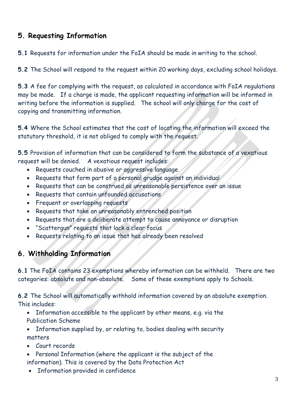### **5. Requesting Information**

**5.1** Requests for information under the FoIA should be made in writing to the school.

**5.2** The School will respond to the request within 20 working days, excluding school holidays.

**5.3** A fee for complying with the request, as calculated in accordance with FoIA regulations may be made. If a charge is made, the applicant requesting information will be informed in writing before the information is supplied. The school will only charge for the cost of copying and transmitting information.

**5.4** Where the School estimates that the cost of locating the information will exceed the statutory threshold, it is not obliged to comply with the request.

**5.5** Provision of information that can be considered to form the substance of a vexatious request will be denied. A vexatious request includes:

- Requests couched in abusive or aggressive language
- Requests that form part of a personal grudge against an individual
- Requests that can be construed as unreasonable persistence over an issue
- Requests that contain unfounded accusations
- Frequent or overlapping requests
- Requests that take an unreasonably entrenched position
- Requests that are a deliberate attempt to cause annoyance or disruption
- "Scattergun" requests that lack a clear focus
- Requests relating to an issue that has already been resolved

## **6. Withholding Information**

**6.1** The FoIA contains 23 exemptions whereby information can be withheld. There are two categories: absolute and non-absolute. Some of these exemptions apply to Schools.

**6.2** The School will automatically withhold information covered by an absolute exemption. This includes:

- Information accessible to the applicant by other means, e.g. via the Publication Scheme
- Information supplied by, or relating to, bodies dealing with security matters
- Court records
- Personal Information (where the applicant is the subject of the information). This is covered by the Data Protection Act
- Information provided in confidence